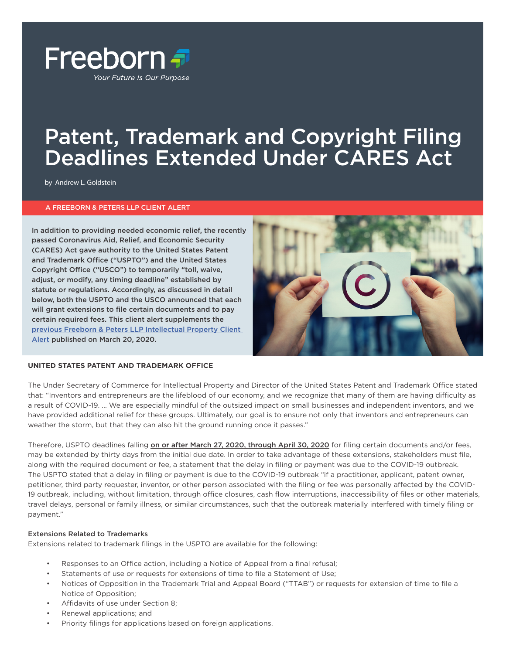

## Patent, Trademark and Copyright Filing Deadlines Extended Under CARES Act

by Andrew L. Goldstein

#### A FREEBORN & PETERS LLP CLIENT ALERT

In addition to providing needed economic relief, the recently passed Coronavirus Aid, Relief, and Economic Security (CARES) Act gave authority to the United States Patent and Trademark Office ("USPTO") and the United States Copyright Office ("USCO") to temporarily "toll, waive, adjust, or modify, any timing deadline" established by statute or regulations. Accordingly, as discussed in detail below, both the USPTO and the USCO announced that each will grant extensions to file certain documents and to pay certain required fees. This client alert supplements the [previous Freeborn & Peters LLP Intellectual Property Client](https://www.freeborn.com/perspectives/client-alert-protecting-intellectual-property-during-covid-19)  [Alert](https://www.freeborn.com/perspectives/client-alert-protecting-intellectual-property-during-covid-19) published on March 20, 2020.



#### **UNITED STATES PATENT AND TRADEMARK OFFICE**

The Under Secretary of Commerce for Intellectual Property and Director of the United States Patent and Trademark Office stated that: "Inventors and entrepreneurs are the lifeblood of our economy, and we recognize that many of them are having difficulty as a result of COVID-19. … We are especially mindful of the outsized impact on small businesses and independent inventors, and we have provided additional relief for these groups. Ultimately, our goal is to ensure not only that inventors and entrepreneurs can weather the storm, but that they can also hit the ground running once it passes."

Therefore, USPTO deadlines falling on or after March 27, 2020, through April 30, 2020 for filing certain documents and/or fees, may be extended by thirty days from the initial due date. In order to take advantage of these extensions, stakeholders must file, along with the required document or fee, a statement that the delay in filing or payment was due to the COVID-19 outbreak. The USPTO stated that a delay in filing or payment is due to the COVID-19 outbreak "if a practitioner, applicant, patent owner, petitioner, third party requester, inventor, or other person associated with the filing or fee was personally affected by the COVID-19 outbreak, including, without limitation, through office closures, cash flow interruptions, inaccessibility of files or other materials, travel delays, personal or family illness, or similar circumstances, such that the outbreak materially interfered with timely filing or payment."

#### Extensions Related to Trademarks

Extensions related to trademark filings in the USPTO are available for the following:

- Responses to an Office action, including a Notice of Appeal from a final refusal;
- Statements of use or requests for extensions of time to file a Statement of Use;
- Notices of Opposition in the Trademark Trial and Appeal Board ("TTAB") or requests for extension of time to file a Notice of Opposition;
- Affidavits of use under Section 8;
- Renewal applications; and
- Priority filings for applications based on foreign applications.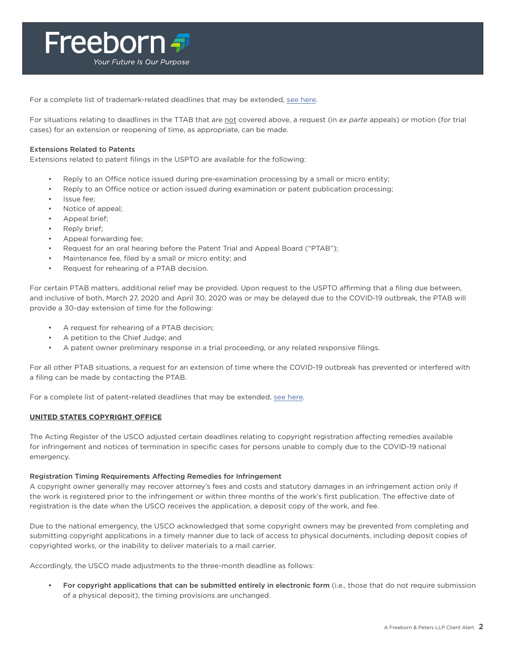

For a complete list of trademark-related deadlines that may be extended, [see here](https://www.uspto.gov/sites/default/files/documents/TM-Notice-CARES-Act.pdf).

For situations relating to deadlines in the TTAB that are not covered above, a request (in *ex parte* appeals) or motion (for trial cases) for an extension or reopening of time, as appropriate, can be made.

#### Extensions Related to Patents

Extensions related to patent filings in the USPTO are available for the following:

- Reply to an Office notice issued during pre-examination processing by a small or micro entity;
- Reply to an Office notice or action issued during examination or patent publication processing;
- Issue fee:
- Notice of appeal;
- Appeal brief;
- Reply brief;
- Appeal forwarding fee;
- Request for an oral hearing before the Patent Trial and Appeal Board ("PTAB");
- Maintenance fee, filed by a small or micro entity; and
- Request for rehearing of a PTAB decision.

For certain PTAB matters, additional relief may be provided. Upon request to the USPTO affirming that a filing due between, and inclusive of both, March 27, 2020 and April 30, 2020 was or may be delayed due to the COVID-19 outbreak, the PTAB will provide a 30-day extension of time for the following:

- A request for rehearing of a PTAB decision;
- A petition to the Chief Judge; and
- A patent owner preliminary response in a trial proceeding, or any related responsive filings.

For all other PTAB situations, a request for an extension of time where the COVID-19 outbreak has prevented or interfered with a filing can be made by contacting the PTAB.

For a complete list of patent-related deadlines that may be extended, [see here.](https://www.uspto.gov/sites/default/files/documents/Patents%20CARES%20Act.pdf)

#### **UNITED STATES COPYRIGHT OFFICE**

The Acting Register of the USCO adjusted certain deadlines relating to copyright registration affecting remedies available for infringement and notices of termination in specific cases for persons unable to comply due to the COVID-19 national emergency.

#### Registration Timing Requirements Affecting Remedies for Infringement

A copyright owner generally may recover attorney's fees and costs and statutory damages in an infringement action only if the work is registered prior to the infringement or within three months of the work's first publication. The effective date of registration is the date when the USCO receives the application, a deposit copy of the work, and fee.

Due to the national emergency, the USCO acknowledged that some copyright owners may be prevented from completing and submitting copyright applications in a timely manner due to lack of access to physical documents, including deposit copies of copyrighted works, or the inability to deliver materials to a mail carrier.

Accordingly, the USCO made adjustments to the three-month deadline as follows:

• For copyright applications that can be submitted entirely in electronic form (i.e., those that do not require submission of a physical deposit), the timing provisions are unchanged.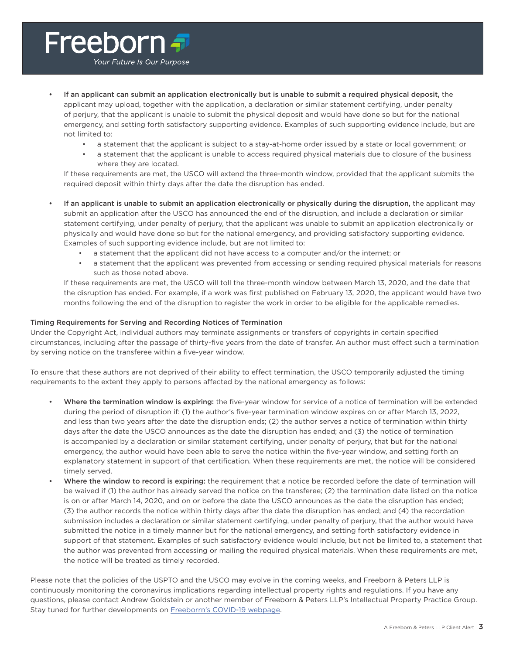## Freeborn <del>T</del> Your Future Is Our Purpose

• If an applicant can submit an application electronically but is unable to submit a required physical deposit, the applicant may upload, together with the application, a declaration or similar statement certifying, under penalty of perjury, that the applicant is unable to submit the physical deposit and would have done so but for the national emergency, and setting forth satisfactory supporting evidence. Examples of such supporting evidence include, but are not limited to:

- a statement that the applicant is subject to a stay-at-home order issued by a state or local government; or
- a statement that the applicant is unable to access required physical materials due to closure of the business where they are located.

If these requirements are met, the USCO will extend the three-month window, provided that the applicant submits the required deposit within thirty days after the date the disruption has ended.

If an applicant is unable to submit an application electronically or physically during the disruption, the applicant may submit an application after the USCO has announced the end of the disruption, and include a declaration or similar statement certifying, under penalty of perjury, that the applicant was unable to submit an application electronically or physically and would have done so but for the national emergency, and providing satisfactory supporting evidence. Examples of such supporting evidence include, but are not limited to:

- a statement that the applicant did not have access to a computer and/or the internet; or
- a statement that the applicant was prevented from accessing or sending required physical materials for reasons such as those noted above.

If these requirements are met, the USCO will toll the three-month window between March 13, 2020, and the date that the disruption has ended. For example, if a work was first published on February 13, 2020, the applicant would have two months following the end of the disruption to register the work in order to be eligible for the applicable remedies.

#### Timing Requirements for Serving and Recording Notices of Termination

Under the Copyright Act, individual authors may terminate assignments or transfers of copyrights in certain specified circumstances, including after the passage of thirty-five years from the date of transfer. An author must effect such a termination by serving notice on the transferee within a five-year window.

To ensure that these authors are not deprived of their ability to effect termination, the USCO temporarily adjusted the timing requirements to the extent they apply to persons affected by the national emergency as follows:

- Where the termination window is expiring: the five-year window for service of a notice of termination will be extended during the period of disruption if: (1) the author's five-year termination window expires on or after March 13, 2022, and less than two years after the date the disruption ends; (2) the author serves a notice of termination within thirty days after the date the USCO announces as the date the disruption has ended; and (3) the notice of termination is accompanied by a declaration or similar statement certifying, under penalty of perjury, that but for the national emergency, the author would have been able to serve the notice within the five-year window, and setting forth an explanatory statement in support of that certification. When these requirements are met, the notice will be considered timely served.
- Where the window to record is expiring: the requirement that a notice be recorded before the date of termination will be waived if (1) the author has already served the notice on the transferee; (2) the termination date listed on the notice is on or after March 14, 2020, and on or before the date the USCO announces as the date the disruption has ended; (3) the author records the notice within thirty days after the date the disruption has ended; and (4) the recordation submission includes a declaration or similar statement certifying, under penalty of perjury, that the author would have submitted the notice in a timely manner but for the national emergency, and setting forth satisfactory evidence in support of that statement. Examples of such satisfactory evidence would include, but not be limited to, a statement that the author was prevented from accessing or mailing the required physical materials. When these requirements are met, the notice will be treated as timely recorded.

Please note that the policies of the USPTO and the USCO may evolve in the coming weeks, and Freeborn & Peters LLP is continuously monitoring the coronavirus implications regarding intellectual property rights and regulations. If you have any questions, please contact Andrew Goldstein or another member of Freeborn & Peters LLP's Intellectual Property Practice Group. Stay tuned for further developments on [Freeborrn's COVID-19 webpage.](https://www.freeborn.com/practice/covid-19)